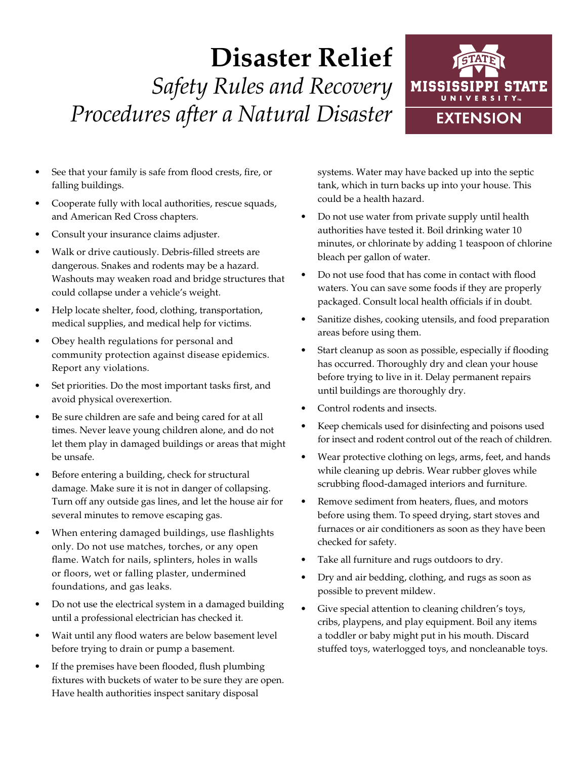## **Disaster Relief** *Safety Rules and Recovery Procedures after a Natural Disaster*



- See that your family is safe from flood crests, fire, or falling buildings.
- Cooperate fully with local authorities, rescue squads, and American Red Cross chapters.
- Consult your insurance claims adjuster.
- Walk or drive cautiously. Debris-filled streets are dangerous. Snakes and rodents may be a hazard. Washouts may weaken road and bridge structures that could collapse under a vehicle's weight.
- Help locate shelter, food, clothing, transportation, medical supplies, and medical help for victims.
- Obey health regulations for personal and community protection against disease epidemics. Report any violations.
- Set priorities. Do the most important tasks first, and avoid physical overexertion.
- Be sure children are safe and being cared for at all times. Never leave young children alone, and do not let them play in damaged buildings or areas that might be unsafe.
- Before entering a building, check for structural damage. Make sure it is not in danger of collapsing. Turn off any outside gas lines, and let the house air for several minutes to remove escaping gas.
- When entering damaged buildings, use flashlights only. Do not use matches, torches, or any open flame. Watch for nails, splinters, holes in walls or floors, wet or falling plaster, undermined foundations, and gas leaks.
- Do not use the electrical system in a damaged building until a professional electrician has checked it.
- Wait until any flood waters are below basement level before trying to drain or pump a basement.
- If the premises have been flooded, flush plumbing fixtures with buckets of water to be sure they are open. Have health authorities inspect sanitary disposal

systems. Water may have backed up into the septic tank, which in turn backs up into your house. This could be a health hazard.

- Do not use water from private supply until health authorities have tested it. Boil drinking water 10 minutes, or chlorinate by adding 1 teaspoon of chlorine bleach per gallon of water.
- Do not use food that has come in contact with flood waters. You can save some foods if they are properly packaged. Consult local health officials if in doubt.
- Sanitize dishes, cooking utensils, and food preparation areas before using them.
- Start cleanup as soon as possible, especially if flooding has occurred. Thoroughly dry and clean your house before trying to live in it. Delay permanent repairs until buildings are thoroughly dry.
- Control rodents and insects.
- Keep chemicals used for disinfecting and poisons used for insect and rodent control out of the reach of children.
- Wear protective clothing on legs, arms, feet, and hands while cleaning up debris. Wear rubber gloves while scrubbing flood-damaged interiors and furniture.
- Remove sediment from heaters, flues, and motors before using them. To speed drying, start stoves and furnaces or air conditioners as soon as they have been checked for safety.
- Take all furniture and rugs outdoors to dry.
- Dry and air bedding, clothing, and rugs as soon as possible to prevent mildew.
- Give special attention to cleaning children's toys, cribs, playpens, and play equipment. Boil any items a toddler or baby might put in his mouth. Discard stuffed toys, waterlogged toys, and noncleanable toys.